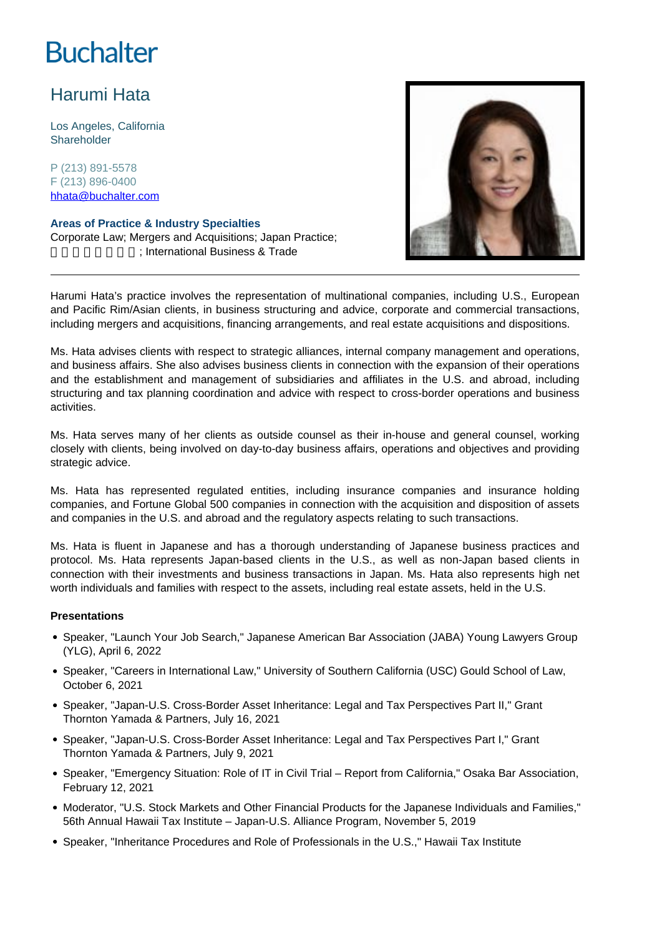# **Buchalter**

# Harumi Hata

Los Angeles, California **Shareholder** 

P (213) 891-5578 F (213) 896-0400 hhata@buchalter.com

## **Areas of Practice & Industry Specialties**

Corporate Law; Mergers and Acquisitions; Japan Practice; ; International Business & Trade



Harumi Hata's practice involves the representation of multinational companies, including U.S., European and Pacific Rim/Asian clients, in business structuring and advice, corporate and commercial transactions, including mergers and acquisitions, financing arrangements, and real estate acquisitions and dispositions.

Ms. Hata advises clients with respect to strategic alliances, internal company management and operations, and business affairs. She also advises business clients in connection with the expansion of their operations and the establishment and management of subsidiaries and affiliates in the U.S. and abroad, including structuring and tax planning coordination and advice with respect to cross-border operations and business activities.

Ms. Hata serves many of her clients as outside counsel as their in-house and general counsel, working closely with clients, being involved on day-to-day business affairs, operations and objectives and providing strategic advice.

Ms. Hata has represented regulated entities, including insurance companies and insurance holding companies, and Fortune Global 500 companies in connection with the acquisition and disposition of assets and companies in the U.S. and abroad and the regulatory aspects relating to such transactions.

Ms. Hata is fluent in Japanese and has a thorough understanding of Japanese business practices and protocol. Ms. Hata represents Japan-based clients in the U.S., as well as non-Japan based clients in connection with their investments and business transactions in Japan. Ms. Hata also represents high net worth individuals and families with respect to the assets, including real estate assets, held in the U.S.

### **Presentations**

- Speaker, "Launch Your Job Search," Japanese American Bar Association (JABA) Young Lawyers Group (YLG), April 6, 2022
- Speaker, "Careers in International Law," University of Southern California (USC) Gould School of Law, October 6, 2021
- Speaker, "Japan-U.S. Cross-Border Asset Inheritance: Legal and Tax Perspectives Part II," Grant Thornton Yamada & Partners, July 16, 2021
- Speaker, "Japan-U.S. Cross-Border Asset Inheritance: Legal and Tax Perspectives Part I," Grant Thornton Yamada & Partners, July 9, 2021
- Speaker, "Emergency Situation: Role of IT in Civil Trial Report from California," Osaka Bar Association, February 12, 2021
- Moderator, "U.S. Stock Markets and Other Financial Products for the Japanese Individuals and Families," 56th Annual Hawaii Tax Institute – Japan-U.S. Alliance Program, November 5, 2019
- Speaker, "Inheritance Procedures and Role of Professionals in the U.S.," Hawaii Tax Institute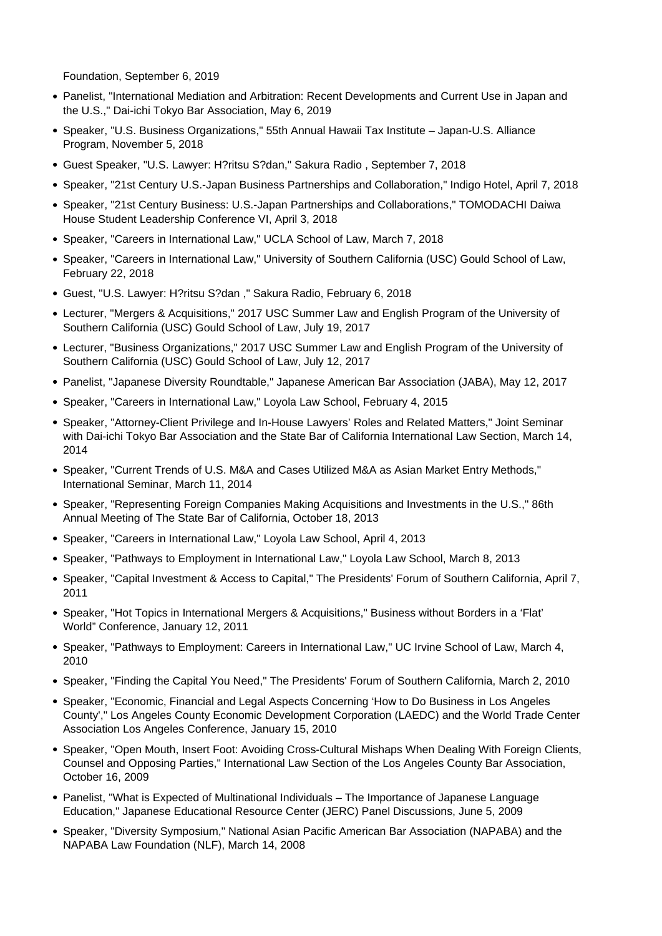Foundation, September 6, 2019

- Panelist, "International Mediation and Arbitration: Recent Developments and Current Use in Japan and the U.S.," Dai-ichi Tokyo Bar Association, May 6, 2019
- Speaker, "U.S. Business Organizations," 55th Annual Hawaii Tax Institute Japan-U.S. Alliance Program, November 5, 2018
- Guest Speaker, "U.S. Lawyer: H?ritsu S?dan," Sakura Radio , September 7, 2018
- Speaker, "21st Century U.S.-Japan Business Partnerships and Collaboration," Indigo Hotel, April 7, 2018
- Speaker, "21st Century Business: U.S.-Japan Partnerships and Collaborations," TOMODACHI Daiwa House Student Leadership Conference VI, April 3, 2018
- Speaker, "Careers in International Law," UCLA School of Law, March 7, 2018
- Speaker, "Careers in International Law," University of Southern California (USC) Gould School of Law, February 22, 2018
- Guest, "U.S. Lawyer: H?ritsu S?dan ," Sakura Radio, February 6, 2018
- Lecturer, "Mergers & Acquisitions," 2017 USC Summer Law and English Program of the University of Southern California (USC) Gould School of Law, July 19, 2017
- Lecturer, "Business Organizations," 2017 USC Summer Law and English Program of the University of Southern California (USC) Gould School of Law, July 12, 2017
- Panelist, "Japanese Diversity Roundtable," Japanese American Bar Association (JABA), May 12, 2017
- Speaker, "Careers in International Law," Loyola Law School, February 4, 2015
- Speaker, "Attorney-Client Privilege and In-House Lawyers' Roles and Related Matters," Joint Seminar with Dai-ichi Tokyo Bar Association and the State Bar of California International Law Section, March 14, 2014
- Speaker, "Current Trends of U.S. M&A and Cases Utilized M&A as Asian Market Entry Methods," International Seminar, March 11, 2014
- Speaker, "Representing Foreign Companies Making Acquisitions and Investments in the U.S.," 86th Annual Meeting of The State Bar of California, October 18, 2013
- Speaker, "Careers in International Law," Loyola Law School, April 4, 2013
- Speaker, "Pathways to Employment in International Law," Loyola Law School, March 8, 2013
- Speaker, "Capital Investment & Access to Capital," The Presidents' Forum of Southern California, April 7, 2011
- Speaker, "Hot Topics in International Mergers & Acquisitions," Business without Borders in a 'Flat' World" Conference, January 12, 2011
- Speaker, "Pathways to Employment: Careers in International Law," UC Irvine School of Law, March 4, 2010
- Speaker, "Finding the Capital You Need," The Presidents' Forum of Southern California, March 2, 2010
- Speaker, "Economic, Financial and Legal Aspects Concerning 'How to Do Business in Los Angeles County'," Los Angeles County Economic Development Corporation (LAEDC) and the World Trade Center Association Los Angeles Conference, January 15, 2010
- Speaker, "Open Mouth, Insert Foot: Avoiding Cross-Cultural Mishaps When Dealing With Foreign Clients, Counsel and Opposing Parties," International Law Section of the Los Angeles County Bar Association, October 16, 2009
- Panelist, "What is Expected of Multinational Individuals The Importance of Japanese Language Education," Japanese Educational Resource Center (JERC) Panel Discussions, June 5, 2009
- Speaker, "Diversity Symposium," National Asian Pacific American Bar Association (NAPABA) and the NAPABA Law Foundation (NLF), March 14, 2008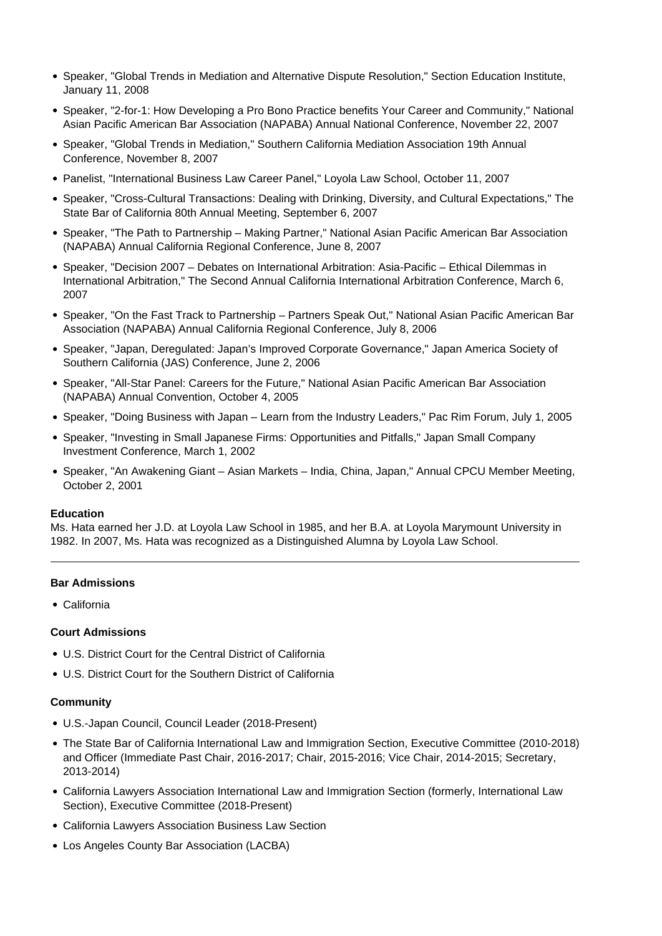- Speaker, "Global Trends in Mediation and Alternative Dispute Resolution," Section Education Institute, January 11, 2008
- Speaker, "2-for-1: How Developing a Pro Bono Practice benefits Your Career and Community," National Asian Pacific American Bar Association (NAPABA) Annual National Conference, November 22, 2007
- Speaker, "Global Trends in Mediation," Southern California Mediation Association 19th Annual Conference, November 8, 2007
- Panelist, "International Business Law Career Panel," Loyola Law School, October 11, 2007
- Speaker, "Cross-Cultural Transactions: Dealing with Drinking, Diversity, and Cultural Expectations," The State Bar of California 80th Annual Meeting, September 6, 2007
- Speaker, "The Path to Partnership Making Partner," National Asian Pacific American Bar Association (NAPABA) Annual California Regional Conference, June 8, 2007
- Speaker, "Decision 2007 Debates on International Arbitration: Asia-Pacific Ethical Dilemmas in International Arbitration," The Second Annual California International Arbitration Conference, March 6, 2007
- Speaker, "On the Fast Track to Partnership Partners Speak Out," National Asian Pacific American Bar Association (NAPABA) Annual California Regional Conference, July 8, 2006
- Speaker, "Japan, Deregulated: Japan's Improved Corporate Governance," Japan America Society of Southern California (JAS) Conference, June 2, 2006
- Speaker, "All-Star Panel: Careers for the Future," National Asian Pacific American Bar Association (NAPABA) Annual Convention, October 4, 2005
- Speaker, "Doing Business with Japan Learn from the Industry Leaders," Pac Rim Forum, July 1, 2005
- Speaker, "Investing in Small Japanese Firms: Opportunities and Pitfalls," Japan Small Company Investment Conference, March 1, 2002
- Speaker, "An Awakening Giant Asian Markets India, China, Japan," Annual CPCU Member Meeting, October 2, 2001

#### **Education**

Ms. Hata earned her J.D. at Loyola Law School in 1985, and her B.A. at Loyola Marymount University in 1982. In 2007, Ms. Hata was recognized as a Distinguished Alumna by Loyola Law School.

#### **Bar Admissions**

California

#### **Court Admissions**

- U.S. District Court for the Central District of California
- U.S. District Court for the Southern District of California

#### **Community**

- U.S.-Japan Council, Council Leader (2018-Present)
- The State Bar of California International Law and Immigration Section, Executive Committee (2010-2018) and Officer (Immediate Past Chair, 2016-2017; Chair, 2015-2016; Vice Chair, 2014-2015; Secretary, 2013-2014)
- California Lawyers Association International Law and Immigration Section (formerly, International Law Section), Executive Committee (2018-Present)
- California Lawyers Association Business Law Section
- Los Angeles County Bar Association (LACBA)